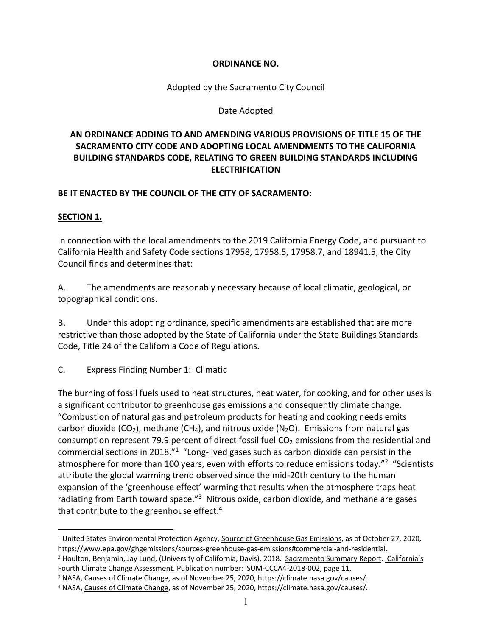### **ORDINANCE NO.**

Adopted by the Sacramento City Council

### Date Adopted

## **AN ORDINANCE ADDING TO AND AMENDING VARIOUS PROVISIONS OF TITLE 15 OF THE SACRAMENTO CITY CODE AND ADOPTING LOCAL AMENDMENTS TO THE CALIFORNIA BUILDING STANDARDS CODE, RELATING TO GREEN BUILDING STANDARDS INCLUDING ELECTRIFICATION**

### **BE IT ENACTED BY THE COUNCIL OF THE CITY OF SACRAMENTO:**

### **SECTION 1.**

In connection with the local amendments to the 2019 California Energy Code, and pursuant to California Health and Safety Code sections 17958, 17958.5, 17958.7, and 18941.5, the City Council finds and determines that:

A. The amendments are reasonably necessary because of local climatic, geological, or topographical conditions.

B. Under this adopting ordinance, specific amendments are established that are more restrictive than those adopted by the State of California under the State Buildings Standards Code, Title 24 of the California Code of Regulations.

C. Express Finding Number 1: Climatic

The burning of fossil fuels used to heat structures, heat water, for cooking, and for other uses is a significant contributor to greenhouse gas emissions and consequently climate change. "Combustion of natural gas and petroleum products for heating and cooking needs emits carbon dioxide (CO<sub>2</sub>), methane (CH<sub>4</sub>), and nitrous oxide (N<sub>2</sub>O). Emissions from natural gas consumption represent 79.9 percent of direct fossil fuel  $CO<sub>2</sub>$  emissions from the residential and commercial sections in 2018."1 "Long‐lived gases such as carbon dioxide can persist in the atmosphere for more than 100 years, even with efforts to reduce emissions today."<sup>2</sup> "Scientists attribute the global warming trend observed since the mid‐20th century to the human expansion of the 'greenhouse effect' warming that results when the atmosphere traps heat radiating from Earth toward space."<sup>3</sup> Nitrous oxide, carbon dioxide, and methane are gases that contribute to the greenhouse effect. $4$ 

<sup>&</sup>lt;sup>1</sup> United States Environmental Protection Agency, Source of Greenhouse Gas Emissions, as of October 27, 2020, https://www.epa.gov/ghgemissions/sources‐greenhouse‐gas‐emissions#commercial‐and‐residential. <sup>2</sup> Houlton, Benjamin, Jay Lund, (University of California, Davis), 2018. Sacramento Summary Report. California's

Fourth Climate Change Assessment. Publication number: SUM‐CCCA4‐2018‐002, page 11.

<sup>3</sup> NASA, Causes of Climate Change, as of November 25, 2020, https://climate.nasa.gov/causes/.

<sup>4</sup> NASA, Causes of Climate Change, as of November 25, 2020, https://climate.nasa.gov/causes/.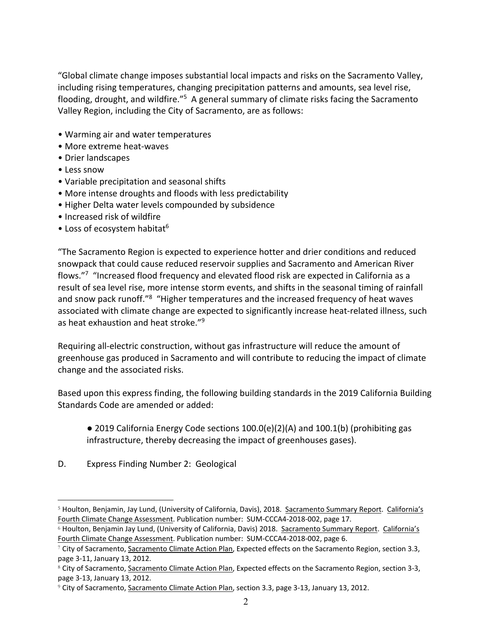"Global climate change imposes substantial local impacts and risks on the Sacramento Valley, including rising temperatures, changing precipitation patterns and amounts, sea level rise, flooding, drought, and wildfire."5 A general summary of climate risks facing the Sacramento Valley Region, including the City of Sacramento, are as follows:

- Warming air and water temperatures
- More extreme heat‐waves
- Drier landscapes
- Less snow
- Variable precipitation and seasonal shifts
- More intense droughts and floods with less predictability
- Higher Delta water levels compounded by subsidence
- Increased risk of wildfire
- Loss of ecosystem habitat<sup>6</sup>

"The Sacramento Region is expected to experience hotter and drier conditions and reduced snowpack that could cause reduced reservoir supplies and Sacramento and American River flows."<sup>7</sup> "Increased flood frequency and elevated flood risk are expected in California as a result of sea level rise, more intense storm events, and shifts in the seasonal timing of rainfall and snow pack runoff."<sup>8</sup> "Higher temperatures and the increased frequency of heat waves associated with climate change are expected to significantly increase heat-related illness, such as heat exhaustion and heat stroke."<sup>9</sup>

Requiring all‐electric construction, without gas infrastructure will reduce the amount of greenhouse gas produced in Sacramento and will contribute to reducing the impact of climate change and the associated risks.

Based upon this express finding, the following building standards in the 2019 California Building Standards Code are amended or added:

 $\bullet$  2019 California Energy Code sections 100.0(e)(2)(A) and 100.1(b) (prohibiting gas infrastructure, thereby decreasing the impact of greenhouses gases).

D. Express Finding Number 2: Geological

<sup>5</sup> Houlton, Benjamin, Jay Lund, (University of California, Davis), 2018. Sacramento Summary Report. California's Fourth Climate Change Assessment. Publication number: SUM‐CCCA4‐2018‐002, page 17.

<sup>&</sup>lt;sup>6</sup> Houlton, Benjamin Jay Lund, (University of California, Davis) 2018. Sacramento Summary Report. California's Fourth Climate Change Assessment. Publication number: SUM‐CCCA4‐2018‐002, page 6.

<sup>7</sup> City of Sacramento, Sacramento Climate Action Plan, Expected effects on the Sacramento Region, section 3.3, page 3‐11, January 13, 2012.

<sup>8</sup> City of Sacramento, Sacramento Climate Action Plan, Expected effects on the Sacramento Region, section 3-3, page 3‐13, January 13, 2012.

<sup>9</sup> City of Sacramento, Sacramento Climate Action Plan, section 3.3, page 3‐13, January 13, 2012.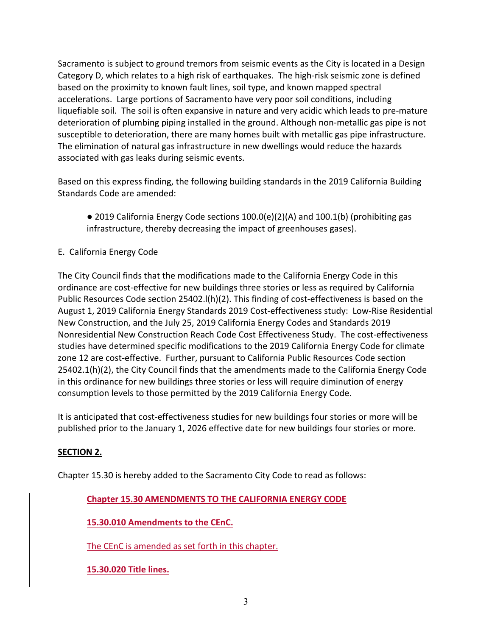Sacramento is subject to ground tremors from seismic events as the City is located in a Design Category D, which relates to a high risk of earthquakes. The high‐risk seismic zone is defined based on the proximity to known fault lines, soil type, and known mapped spectral accelerations. Large portions of Sacramento have very poor soil conditions, including liquefiable soil. The soil is often expansive in nature and very acidic which leads to pre‐mature deterioration of plumbing piping installed in the ground. Although non-metallic gas pipe is not susceptible to deterioration, there are many homes built with metallic gas pipe infrastructure. The elimination of natural gas infrastructure in new dwellings would reduce the hazards associated with gas leaks during seismic events.

Based on this express finding, the following building standards in the 2019 California Building Standards Code are amended:

- 2019 California Energy Code sections 100.0(e)(2)(A) and 100.1(b) (prohibiting gas infrastructure, thereby decreasing the impact of greenhouses gases).
- E. California Energy Code

The City Council finds that the modifications made to the California Energy Code in this ordinance are cost-effective for new buildings three stories or less as required by California Public Resources Code section 25402.l(h)(2). This finding of cost-effectiveness is based on the August 1, 2019 California Energy Standards 2019 Cost‐effectiveness study: Low‐Rise Residential New Construction, and the July 25, 2019 California Energy Codes and Standards 2019 Nonresidential New Construction Reach Code Cost Effectiveness Study. The cost‐effectiveness studies have determined specific modifications to the 2019 California Energy Code for climate zone 12 are cost-effective. Further, pursuant to California Public Resources Code section 25402.1(h)(2), the City Council finds that the amendments made to the California Energy Code in this ordinance for new buildings three stories or less will require diminution of energy consumption levels to those permitted by the 2019 California Energy Code.

It is anticipated that cost‐effectiveness studies for new buildings four stories or more will be published prior to the January 1, 2026 effective date for new buildings four stories or more.

# **SECTION 2.**

Chapter 15.30 is hereby added to the Sacramento City Code to read as follows:

# **Chapter 15.30 AMENDMENTS TO THE CALIFORNIA ENERGY CODE**

**15.30.010 Amendments to the CEnC.**

The CEnC is amended as set forth in this chapter.

**15.30.020 Title lines.**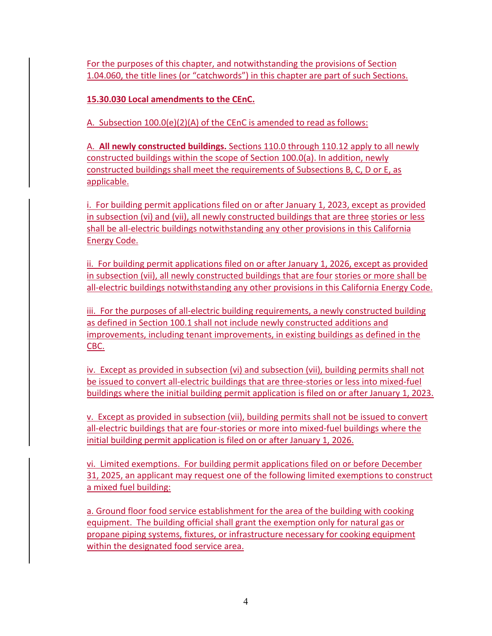For the purposes of this chapter, and notwithstanding the provisions of Section 1.04.060, the title lines (or "catchwords") in this chapter are part of such Sections.

**15.30.030 Local amendments to the CEnC.**

A. Subsection 100.0(e)(2)(A) of the CEnC is amended to read as follows:

A. **All newly constructed buildings.** Sections 110.0 through 110.12 apply to all newly constructed buildings within the scope of Section 100.0(a). In addition, newly constructed buildings shall meet the requirements of Subsections B, C, D or E, as applicable.

i. For building permit applications filed on or after January 1, 2023, except as provided in subsection (vi) and (vii), all newly constructed buildings that are three stories or less shall be all-electric buildings notwithstanding any other provisions in this California Energy Code.

ii. For building permit applications filed on or after January 1, 2026, except as provided in subsection (vii), all newly constructed buildings that are four stories or more shall be all-electric buildings notwithstanding any other provisions in this California Energy Code.

iii. For the purposes of all‐electric building requirements, a newly constructed building as defined in Section 100.1 shall not include newly constructed additions and improvements, including tenant improvements, in existing buildings as defined in the CBC.

iv. Except as provided in subsection (vi) and subsection (vii), building permits shall not be issued to convert all‐electric buildings that are three‐stories or less into mixed‐fuel buildings where the initial building permit application is filed on or after January 1, 2023.

v. Except as provided in subsection (vii), building permits shall not be issued to convert all-electric buildings that are four-stories or more into mixed-fuel buildings where the initial building permit application is filed on or after January 1, 2026.

vi. Limited exemptions. For building permit applications filed on or before December 31, 2025, an applicant may request one of the following limited exemptions to construct a mixed fuel building:

a. Ground floor food service establishment for the area of the building with cooking equipment. The building official shall grant the exemption only for natural gas or propane piping systems, fixtures, or infrastructure necessary for cooking equipment within the designated food service area.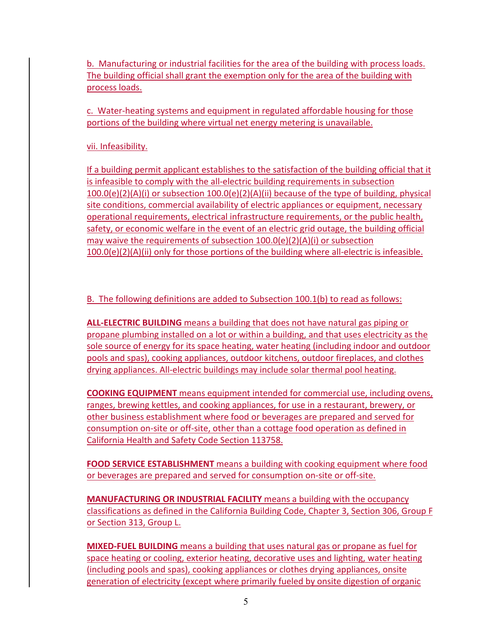b. Manufacturing or industrial facilities for the area of the building with process loads. The building official shall grant the exemption only for the area of the building with process loads.

c. Water‐heating systems and equipment in regulated affordable housing for those portions of the building where virtual net energy metering is unavailable.

vii. Infeasibility.

If a building permit applicant establishes to the satisfaction of the building official that it is infeasible to comply with the all‐electric building requirements in subsection 100.0(e)(2)(A)(i) or subsection 100.0(e)(2)(A)(ii) because of the type of building, physical site conditions, commercial availability of electric appliances or equipment, necessary operational requirements, electrical infrastructure requirements, or the public health, safety, or economic welfare in the event of an electric grid outage, the building official may waive the requirements of subsection 100.0(e)(2)(A)(i) or subsection  $100.0(e)(2)(A)(ii)$  only for those portions of the building where all-electric is infeasible.

B. The following definitions are added to Subsection 100.1(b) to read as follows:

**ALL‐ELECTRIC BUILDING** means a building that does not have natural gas piping or propane plumbing installed on a lot or within a building, and that uses electricity as the sole source of energy for its space heating, water heating (including indoor and outdoor pools and spas), cooking appliances, outdoor kitchens, outdoor fireplaces, and clothes drying appliances. All‐electric buildings may include solar thermal pool heating.

**COOKING EQUIPMENT** means equipment intended for commercial use, including ovens, ranges, brewing kettles, and cooking appliances, for use in a restaurant, brewery, or other business establishment where food or beverages are prepared and served for consumption on‐site or off‐site, other than a cottage food operation as defined in California Health and Safety Code Section 113758.

**FOOD SERVICE ESTABLISHMENT** means a building with cooking equipment where food or beverages are prepared and served for consumption on‐site or off‐site.

**MANUFACTURING OR INDUSTRIAL FACILITY** means a building with the occupancy classifications as defined in the California Building Code, Chapter 3, Section 306, Group F or Section 313, Group L.

**MIXED‐FUEL BUILDING** means a building that uses natural gas or propane as fuel for space heating or cooling, exterior heating, decorative uses and lighting, water heating (including pools and spas), cooking appliances or clothes drying appliances, onsite generation of electricity (except where primarily fueled by onsite digestion of organic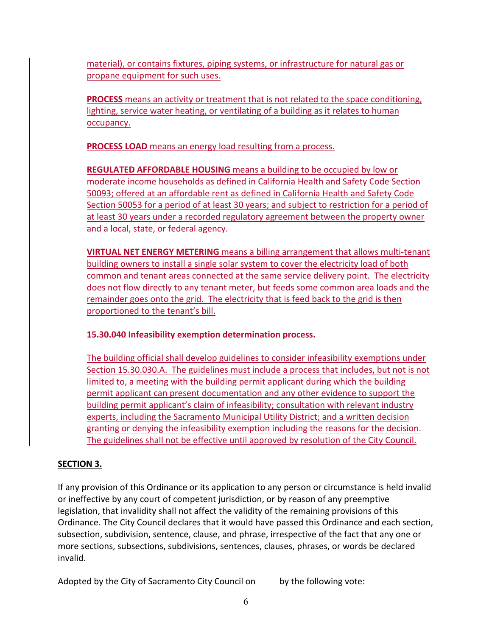material), or contains fixtures, piping systems, or infrastructure for natural gas or propane equipment for such uses.

**PROCESS** means an activity or treatment that is not related to the space conditioning, lighting, service water heating, or ventilating of a building as it relates to human occupancy.

**PROCESS LOAD** means an energy load resulting from a process.

**REGULATED AFFORDABLE HOUSING** means a building to be occupied by low or moderate income households as defined in California Health and Safety Code Section 50093; offered at an affordable rent as defined in California Health and Safety Code Section 50053 for a period of at least 30 years; and subject to restriction for a period of at least 30 years under a recorded regulatory agreement between the property owner and a local, state, or federal agency.

**VIRTUAL NET ENERGY METERING** means a billing arrangement that allows multi‐tenant building owners to install a single solar system to cover the electricity load of both common and tenant areas connected at the same service delivery point. The electricity does not flow directly to any tenant meter, but feeds some common area loads and the remainder goes onto the grid. The electricity that is feed back to the grid is then proportioned to the tenant's bill.

**15.30.040 Infeasibility exemption determination process.**

The building official shall develop guidelines to consider infeasibility exemptions under Section 15.30.030.A. The guidelines must include a process that includes, but not is not limited to, a meeting with the building permit applicant during which the building permit applicant can present documentation and any other evidence to support the building permit applicant's claim of infeasibility; consultation with relevant industry experts, including the Sacramento Municipal Utility District; and a written decision granting or denying the infeasibility exemption including the reasons for the decision. The guidelines shall not be effective until approved by resolution of the City Council.

# **SECTION 3.**

If any provision of this Ordinance or its application to any person or circumstance is held invalid or ineffective by any court of competent jurisdiction, or by reason of any preemptive legislation, that invalidity shall not affect the validity of the remaining provisions of this Ordinance. The City Council declares that it would have passed this Ordinance and each section, subsection, subdivision, sentence, clause, and phrase, irrespective of the fact that any one or more sections, subsections, subdivisions, sentences, clauses, phrases, or words be declared invalid.

Adopted by the City of Sacramento City Council on by the following vote: